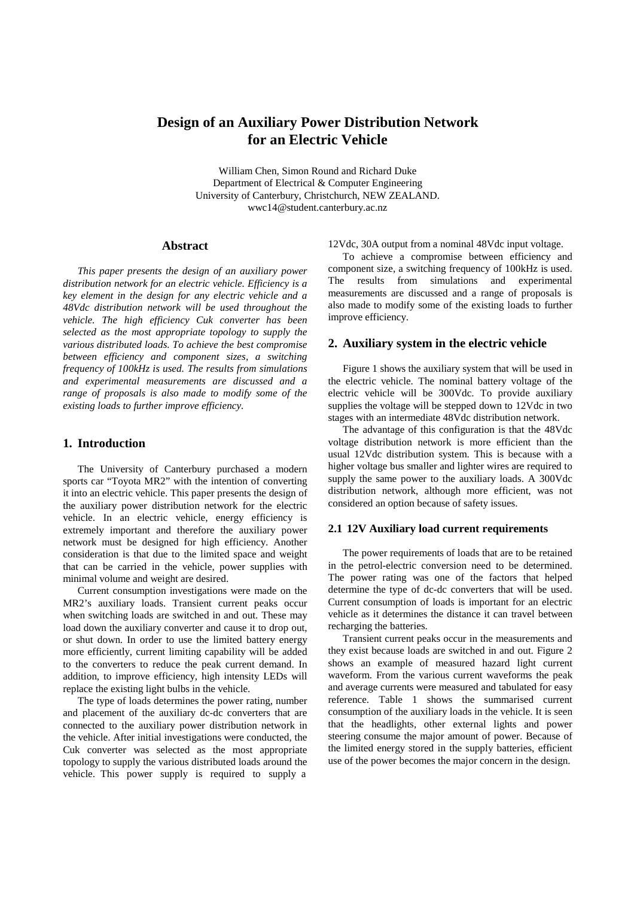# **Design of an Auxiliary Power Distribution Network for an Electric Vehicle**

William Chen, Simon Round and Richard Duke Department of Electrical & Computer Engineering University of Canterbury, Christchurch, NEW ZEALAND. wwc14@student.canterbury.ac.nz

### **Abstract**

*This paper presents the design of an auxiliary power distribution network for an electric vehicle. Efficiency is a key element in the design for any electric vehicle and a 48Vdc distribution network will be used throughout the vehicle. The high efficiency Cuk converter has been selected as the most appropriate topology to supply the various distributed loads. To achieve the best compromise between efficiency and component sizes, a switching frequency of 100kHz is used. The results from simulations and experimental measurements are discussed and a range of proposals is also made to modify some of the existing loads to further improve efficiency.*

# **1. Introduction**

The University of Canterbury purchased a modern sports car "Toyota MR2" with the intention of converting it into an electric vehicle. This paper presents the design of the auxiliary power distribution network for the electric vehicle. In an electric vehicle, energy efficiency is extremely important and therefore the auxiliary power network must be designed for high efficiency. Another consideration is that due to the limited space and weight that can be carried in the vehicle, power supplies with minimal volume and weight are desired.

Current consumption investigations were made on the MR2's auxiliary loads. Transient current peaks occur when switching loads are switched in and out. These may load down the auxiliary converter and cause it to drop out, or shut down. In order to use the limited battery energy more efficiently, current limiting capability will be added to the converters to reduce the peak current demand. In addition, to improve efficiency, high intensity LEDs will replace the existing light bulbs in the vehicle.

The type of loads determines the power rating, number and placement of the auxiliary dc-dc converters that are connected to the auxiliary power distribution network in the vehicle. After initial investigations were conducted, the Cuk converter was selected as the most appropriate topology to supply the various distributed loads around the vehicle. This power supply is required to supply a

12Vdc, 30A output from a nominal 48Vdc input voltage.

To achieve a compromise between efficiency and component size, a switching frequency of 100kHz is used. The results from simulations and experimental measurements are discussed and a range of proposals is also made to modify some of the existing loads to further improve efficiency.

# **2. Auxiliary system in the electric vehicle**

Figure 1 shows the auxiliary system that will be used in the electric vehicle. The nominal battery voltage of the electric vehicle will be 300Vdc. To provide auxiliary supplies the voltage will be stepped down to 12Vdc in two stages with an intermediate 48Vdc distribution network.

The advantage of this configuration is that the 48Vdc voltage distribution network is more efficient than the usual 12Vdc distribution system. This is because with a higher voltage bus smaller and lighter wires are required to supply the same power to the auxiliary loads. A 300Vdc distribution network, although more efficient, was not considered an option because of safety issues.

#### **2.1 12V Auxiliary load current requirements**

The power requirements of loads that are to be retained in the petrol-electric conversion need to be determined. The power rating was one of the factors that helped determine the type of dc-dc converters that will be used. Current consumption of loads is important for an electric vehicle as it determines the distance it can travel between recharging the batteries.

Transient current peaks occur in the measurements and they exist because loads are switched in and out. Figure 2 shows an example of measured hazard light current waveform. From the various current waveforms the peak and average currents were measured and tabulated for easy reference. Table 1 shows the summarised current consumption of the auxiliary loads in the vehicle. It is seen that the headlights, other external lights and power steering consume the major amount of power. Because of the limited energy stored in the supply batteries, efficient use of the power becomes the major concern in the design.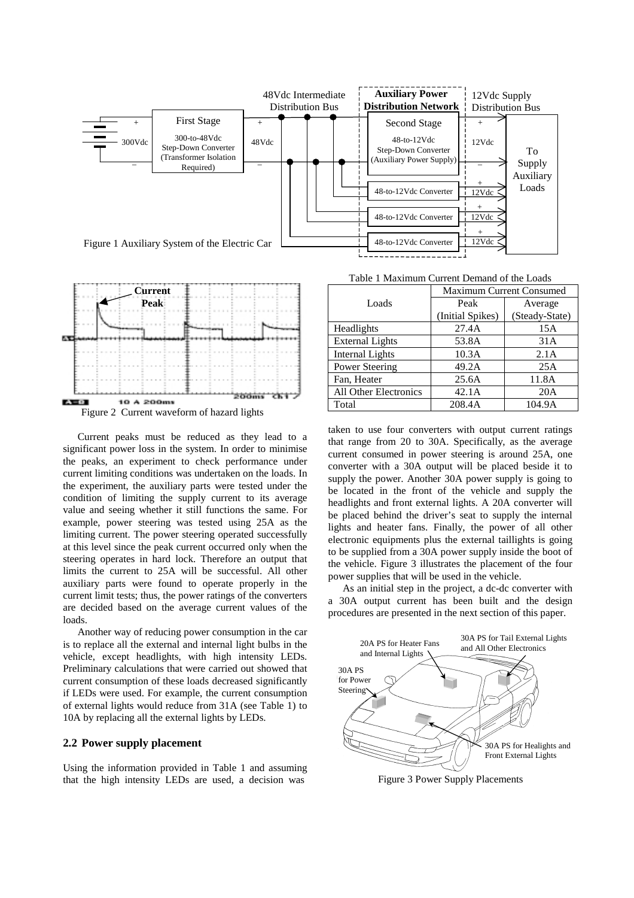



Current peaks must be reduced as they lead to a significant power loss in the system. In order to minimise the peaks, an experiment to check performance under current limiting conditions was undertaken on the loads. In the experiment, the auxiliary parts were tested under the condition of limiting the supply current to its average value and seeing whether it still functions the same. For example, power steering was tested using 25A as the limiting current. The power steering operated successfully at this level since the peak current occurred only when the steering operates in hard lock. Therefore an output that limits the current to 25A will be successful. All other auxiliary parts were found to operate properly in the current limit tests; thus, the power ratings of the converters are decided based on the average current values of the loads.

Another way of reducing power consumption in the car is to replace all the external and internal light bulbs in the vehicle, except headlights, with high intensity LEDs. Preliminary calculations that were carried out showed that current consumption of these loads decreased significantly if LEDs were used. For example, the current consumption of external lights would reduce from 31A (see Table 1) to 10A by replacing all the external lights by LEDs.

# **2.2 Power supply placement**

Using the information provided in Table 1 and assuming that the high intensity LEDs are used, a decision was

Table 1 Maximum Current Demand of the Loads

|                        | <b>Maximum Current Consumed</b> |                |  |  |
|------------------------|---------------------------------|----------------|--|--|
| Loads                  | Peak                            | Average        |  |  |
|                        | (Initial Spikes)                | (Steady-State) |  |  |
| Headlights             | 27.4A                           | 15A            |  |  |
| <b>External Lights</b> | 53.8A                           | 31A            |  |  |
| <b>Internal Lights</b> | 10.3A                           | 2.1A           |  |  |
| <b>Power Steering</b>  | 49.2A                           | 25A            |  |  |
| Fan, Heater            | 25.6A                           | 11.8A          |  |  |
| All Other Electronics  | 42.1A                           | 20A            |  |  |
| Total                  | 208.4A                          | 104.9A         |  |  |

taken to use four converters with output current ratings that range from 20 to 30A. Specifically, as the average current consumed in power steering is around 25A, one converter with a 30A output will be placed beside it to supply the power. Another 30A power supply is going to be located in the front of the vehicle and supply the headlights and front external lights. A 20A converter will be placed behind the driver's seat to supply the internal lights and heater fans. Finally, the power of all other electronic equipments plus the external taillights is going to be supplied from a 30A power supply inside the boot of the vehicle. Figure 3 illustrates the placement of the four power supplies that will be used in the vehicle.

As an initial step in the project, a dc-dc converter with a 30A output current has been built and the design procedures are presented in the next section of this paper.



Figure 3 Power Supply Placements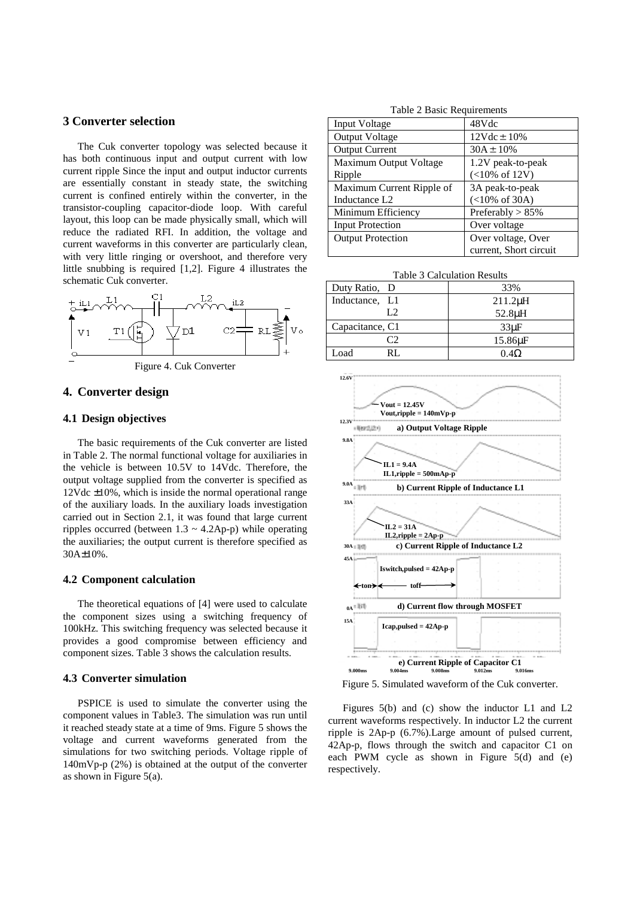# **3 Converter selection**

The Cuk converter topology was selected because it has both continuous input and output current with low current ripple Since the input and output inductor currents are essentially constant in steady state, the switching current is confined entirely within the converter, in the transistor-coupling capacitor-diode loop. With careful layout, this loop can be made physically small, which will reduce the radiated RFI. In addition, the voltage and current waveforms in this converter are particularly clean, with very little ringing or overshoot, and therefore very little snubbing is required [1,2]. Figure 4 illustrates the schematic Cuk converter.





# **4. Converter design**

#### **4.1 Design objectives**

The basic requirements of the Cuk converter are listed in Table 2. The normal functional voltage for auxiliaries in the vehicle is between 10.5V to 14Vdc. Therefore, the output voltage supplied from the converter is specified as 12Vdc ±10%, which is inside the normal operational range of the auxiliary loads. In the auxiliary loads investigation carried out in Section 2.1, it was found that large current ripples occurred (between  $1.3 \sim 4.2$ Ap-p) while operating the auxiliaries; the output current is therefore specified as 30A±10%.

#### **4.2 Component calculation**

The theoretical equations of [4] were used to calculate the component sizes using a switching frequency of 100kHz. This switching frequency was selected because it provides a good compromise between efficiency and component sizes. Table 3 shows the calculation results.

#### **4.3 Converter simulation**

PSPICE is used to simulate the converter using the component values in Table3. The simulation was run until it reached steady state at a time of 9ms. Figure 5 shows the voltage and current waveforms generated from the simulations for two switching periods. Voltage ripple of 140mVp-p (2%) is obtained at the output of the converter as shown in Figure  $5(a)$ .

Table 2 Basic Requirements

| Input Voltage             | 48Vdc                            |
|---------------------------|----------------------------------|
| Output Voltage            | $12Vdc \pm 10%$                  |
| <b>Output Current</b>     | $30A \pm 10\%$                   |
| Maximum Output Voltage    | 1.2V peak-to-peak                |
| Ripple                    | $(<10\% \text{ of } 12\text{V})$ |
| Maximum Current Ripple of | 3A peak-to-peak                  |
| Inductance L <sub>2</sub> | $(<10\% \text{ of } 30\text{A})$ |
| Minimum Efficiency        | Preferably $> 85\%$              |
| <b>Input Protection</b>   | Over voltage                     |
| <b>Output Protection</b>  | Over voltage, Over               |
|                           | current, Short circuit           |

Table 3 Calculation Results

| Duty Ratio, D   | 33%                 |
|-----------------|---------------------|
| Inductance, L1  | $211.2\mu H$        |
| L2              | 52.8µH              |
| Capacitance, C1 | $33\mu F$           |
|                 | 15.86 <sub>uF</sub> |
| Load            | $0.4\Omega$         |



Figure 5. Simulated waveform of the Cuk converter.

Figures 5(b) and (c) show the inductor L1 and L2 current waveforms respectively. In inductor L2 the current ripple is 2Ap-p (6.7%).Large amount of pulsed current, 42Ap-p, flows through the switch and capacitor C1 on each PWM cycle as shown in Figure 5(d) and (e) respectively.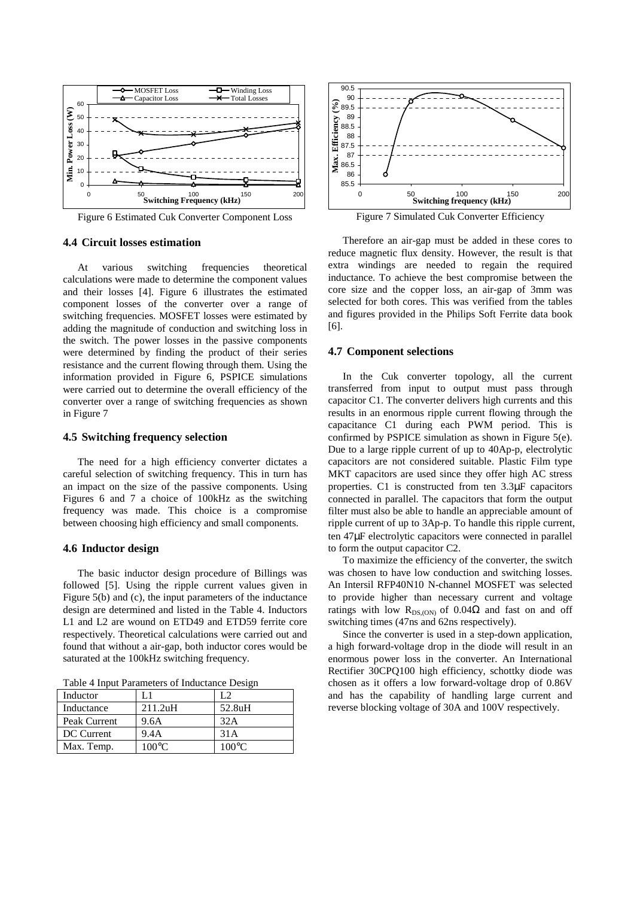

Figure 6 Estimated Cuk Converter Component Loss

## **4.4 Circuit losses estimation**

At various switching frequencies theoretical calculations were made to determine the component values and their losses [4]. Figure 6 illustrates the estimated component losses of the converter over a range of switching frequencies. MOSFET losses were estimated by adding the magnitude of conduction and switching loss in the switch. The power losses in the passive components were determined by finding the product of their series resistance and the current flowing through them. Using the information provided in Figure 6, PSPICE simulations were carried out to determine the overall efficiency of the converter over a range of switching frequencies as shown in Figure 7

### **4.5 Switching frequency selection**

The need for a high efficiency converter dictates a careful selection of switching frequency. This in turn has an impact on the size of the passive components. Using Figures 6 and 7 a choice of 100kHz as the switching frequency was made. This choice is a compromise between choosing high efficiency and small components.

#### **4.6 Inductor design**

The basic inductor design procedure of Billings was followed [5]. Using the ripple current values given in Figure 5(b) and (c), the input parameters of the inductance design are determined and listed in the Table 4. Inductors L1 and L2 are wound on ETD49 and ETD59 ferrite core respectively. Theoretical calculations were carried out and found that without a air-gap, both inductor cores would be saturated at the 100kHz switching frequency.

| Inductor     | L 1     | L2              |
|--------------|---------|-----------------|
| Inductance   | 211.2uH | 52.8uH          |
| Peak Current | 9.6A    | 32A             |
| DC Current   | 9.4A    | 31A             |
| Max. Temp.   | 100°C   | $100^{\circ}$ C |

Table 4 Input Parameters of Inductance Design



Therefore an air-gap must be added in these cores to reduce magnetic flux density. However, the result is that extra windings are needed to regain the required inductance. To achieve the best compromise between the core size and the copper loss, an air-gap of 3mm was selected for both cores. This was verified from the tables and figures provided in the Philips Soft Ferrite data book [6].

# **4.7 Component selections**

In the Cuk converter topology, all the current transferred from input to output must pass through capacitor C1. The converter delivers high currents and this results in an enormous ripple current flowing through the capacitance C1 during each PWM period. This is confirmed by PSPICE simulation as shown in Figure 5(e). Due to a large ripple current of up to 40Ap-p, electrolytic capacitors are not considered suitable. Plastic Film type MKT capacitors are used since they offer high AC stress properties. C1 is constructed from ten 3.3µF capacitors connected in parallel. The capacitors that form the output filter must also be able to handle an appreciable amount of ripple current of up to 3Ap-p. To handle this ripple current, ten 47µF electrolytic capacitors were connected in parallel to form the output capacitor C2.

To maximize the efficiency of the converter, the switch was chosen to have low conduction and switching losses. An Intersil RFP40N10 N-channel MOSFET was selected to provide higher than necessary current and voltage ratings with low R<sub>DS (ON)</sub> of 0.04Ω and fast on and off switching times (47ns and 62ns respectively).

Since the converter is used in a step-down application, a high forward-voltage drop in the diode will result in an enormous power loss in the converter. An International Rectifier 30CPQ100 high efficiency, schottky diode was chosen as it offers a low forward-voltage drop of 0.86V and has the capability of handling large current and reverse blocking voltage of 30A and 100V respectively.